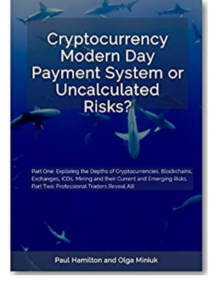## Cryptocurrency **Modern Day** Payment System or Uncalculated Risks?

Part One: Exploring the Depths of Cryptocurrencies, Blockchains, Exchanges, IOOs, Mining and their Current and Emerging Risks. **Part Two: Professional Traders Reveal All!** 

Paul Harnilton and Olga Miniuk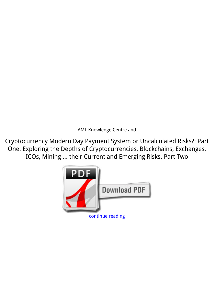*AML Knowledge Centre and*

**Cryptocurrency Modern Day Payment System or Uncalculated Risks?: Part One: Exploring the Depths of Cryptocurrencies, Blockchains, Exchanges, ICOs, Mining ... their Current and Emerging Risks. Part Two**

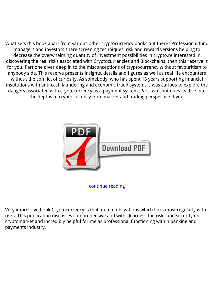What sets this book apart from various other cryptocurrency books out there? Professional fund managers and investors share screening techniques, risk and reward versions helping to decrease the overwhelming quantity of investment possibilities in crypto.re interested in discovering the real risks associated with Cryptocurrencies and Blockchains, then this reserve is for you. Part one dives deep in to the misconceptions of cryptocurrency without favouritism to anybody side. This reserve presents insights, details and figures as well as real life encounters without the conflict of curiosity. As somebody, who has spent 13 years supporting financial institutions with anti-cash laundering and economic fraud systems, I was curious to explore the dangers associated with cryptocurrency as a payment system. Part two continues its dive into the depths of cryptocurrency from market and trading perspective.If you'



[continue reading](http://bit.ly/2Tge8Fv)

Very impressive book Cryptocurrency is that area of obligations which links most regularly with risks. This publication discusses comprehensive and with clearness the risks and security on cryptomarket and incredibly helpful for me as professional functioning within banking and payments industry.